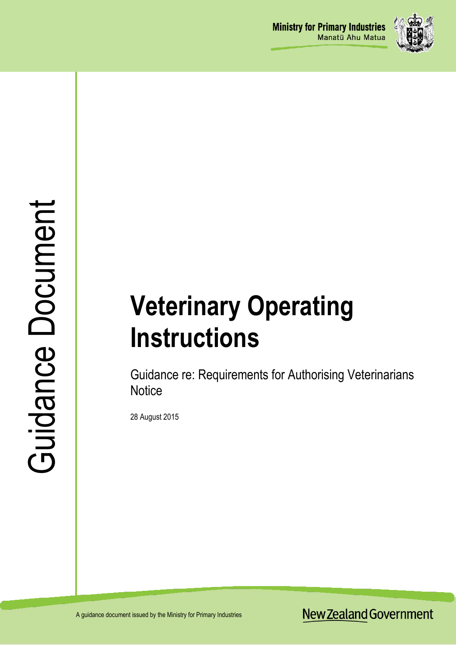

# **Veterinary Operating Instructions**

Guidance re: Requirements for Authorising Veterinarians **Notice** 

28 August 2015

New Zealand Government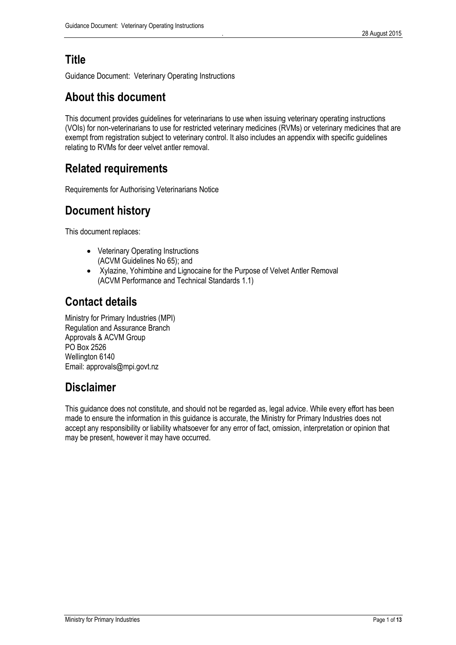### **Title**

Guidance Document: Veterinary Operating Instructions

### **About this document**

This document provides guidelines for veterinarians to use when issuing veterinary operating instructions (VOIs) for non-veterinarians to use for restricted veterinary medicines (RVMs) or veterinary medicines that are exempt from registration subject to veterinary control. It also includes an appendix with specific guidelines relating to RVMs for deer velvet antler removal.

### **Related requirements**

Requirements for Authorising Veterinarians Notice

# **Document history**

This document replaces:

- Veterinary Operating Instructions (ACVM Guidelines No 65); and
- Xylazine, Yohimbine and Lignocaine for the Purpose of Velvet Antler Removal (ACVM Performance and Technical Standards 1.1)

### **Contact details**

Ministry for Primary Industries (MPI) Regulation and Assurance Branch Approvals & ACVM Group PO Box 2526 Wellington 6140 Email: approvals@mpi.govt.nz

### **Disclaimer**

This guidance does not constitute, and should not be regarded as, legal advice. While every effort has been made to ensure the information in this guidance is accurate, the Ministry for Primary Industries does not accept any responsibility or liability whatsoever for any error of fact, omission, interpretation or opinion that may be present, however it may have occurred.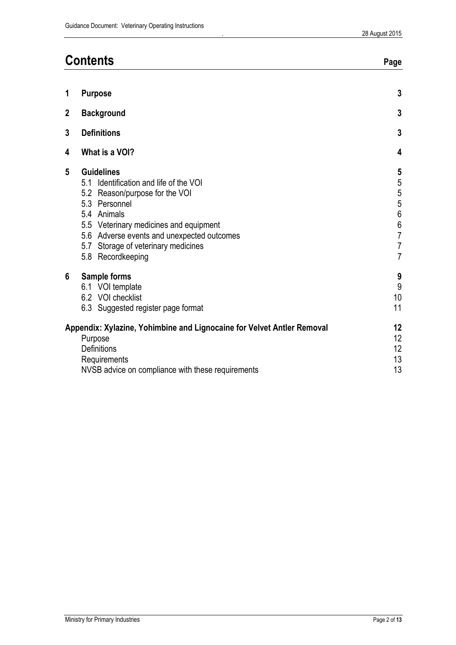| <b>Contents</b> |                                                                                                                                                                                                                                                                                      | Page                                                                                                                                                        |  |
|-----------------|--------------------------------------------------------------------------------------------------------------------------------------------------------------------------------------------------------------------------------------------------------------------------------------|-------------------------------------------------------------------------------------------------------------------------------------------------------------|--|
| 1               | <b>Purpose</b>                                                                                                                                                                                                                                                                       | $\mathbf{3}$                                                                                                                                                |  |
| $\mathbf 2$     | <b>Background</b>                                                                                                                                                                                                                                                                    | $\mathbf{3}$                                                                                                                                                |  |
| 3               | <b>Definitions</b>                                                                                                                                                                                                                                                                   |                                                                                                                                                             |  |
| 4               | What is a VOI?                                                                                                                                                                                                                                                                       | 4                                                                                                                                                           |  |
| 5               | <b>Guidelines</b><br>Identification and life of the VOI<br>5.1<br>5.2 Reason/purpose for the VOI<br>5.3 Personnel<br>5.4 Animals<br>5.5 Veterinary medicines and equipment<br>5.6 Adverse events and unexpected outcomes<br>5.7 Storage of veterinary medicines<br>5.8 Recordkeeping | 5<br>$\overline{5}$<br>$\overline{5}$<br>$\begin{array}{c} 5 \\ 6 \end{array}$<br>$\begin{array}{c} 6 \\ 7 \end{array}$<br>$\overline{7}$<br>$\overline{7}$ |  |
| $6\phantom{1}$  | Sample forms<br>6.1 VOI template<br>6.2 VOI checklist<br>6.3 Suggested register page format                                                                                                                                                                                          | $\boldsymbol{9}$<br>$\overline{9}$<br>10<br>11                                                                                                              |  |
|                 | Appendix: Xylazine, Yohimbine and Lignocaine for Velvet Antler Removal<br>Purpose<br><b>Definitions</b><br>Requirements<br>NVSB advice on compliance with these requirements                                                                                                         | 12<br>12<br>12<br>13<br>13                                                                                                                                  |  |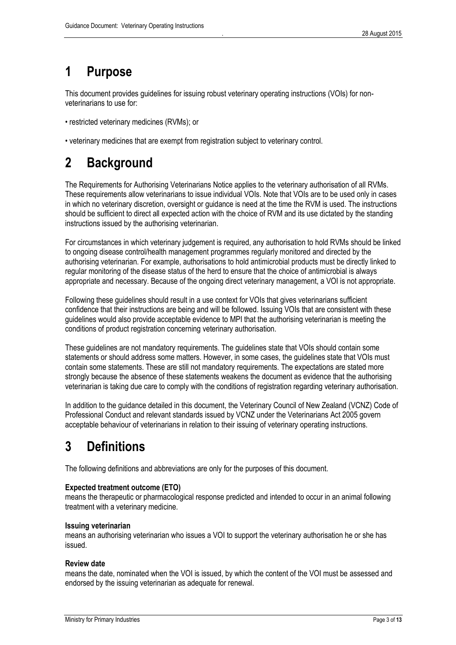# <span id="page-3-0"></span>**1 Purpose**

This document provides guidelines for issuing robust veterinary operating instructions (VOIs) for nonveterinarians to use for:

- restricted veterinary medicines (RVMs); or
- veterinary medicines that are exempt from registration subject to veterinary control.

# <span id="page-3-1"></span>**2 Background**

The Requirements for Authorising Veterinarians Notice applies to the veterinary authorisation of all RVMs. These requirements allow veterinarians to issue individual VOIs. Note that VOIs are to be used only in cases in which no veterinary discretion, oversight or guidance is need at the time the RVM is used. The instructions should be sufficient to direct all expected action with the choice of RVM and its use dictated by the standing instructions issued by the authorising veterinarian.

For circumstances in which veterinary judgement is required, any authorisation to hold RVMs should be linked to ongoing disease control/health management programmes regularly monitored and directed by the authorising veterinarian. For example, authorisations to hold antimicrobial products must be directly linked to regular monitoring of the disease status of the herd to ensure that the choice of antimicrobial is always appropriate and necessary. Because of the ongoing direct veterinary management, a VOI is not appropriate.

Following these guidelines should result in a use context for VOIs that gives veterinarians sufficient confidence that their instructions are being and will be followed. Issuing VOIs that are consistent with these guidelines would also provide acceptable evidence to MPI that the authorising veterinarian is meeting the conditions of product registration concerning veterinary authorisation.

These guidelines are not mandatory requirements. The guidelines state that VOIs should contain some statements or should address some matters. However, in some cases, the quidelines state that VOIs must contain some statements. These are still not mandatory requirements. The expectations are stated more strongly because the absence of these statements weakens the document as evidence that the authorising veterinarian is taking due care to comply with the conditions of registration regarding veterinary authorisation.

In addition to the guidance detailed in this document, the Veterinary Council of New Zealand (VCNZ) Code of Professional Conduct and relevant standards issued by VCNZ under the Veterinarians Act 2005 govern acceptable behaviour of veterinarians in relation to their issuing of veterinary operating instructions.

# <span id="page-3-2"></span>**3 Definitions**

The following definitions and abbreviations are only for the purposes of this document.

#### **Expected treatment outcome (ETO)**

means the therapeutic or pharmacological response predicted and intended to occur in an animal following treatment with a veterinary medicine.

#### **Issuing veterinarian**

means an authorising veterinarian who issues a VOI to support the veterinary authorisation he or she has issued.

#### **Review date**

means the date, nominated when the VOI is issued, by which the content of the VOI must be assessed and endorsed by the issuing veterinarian as adequate for renewal.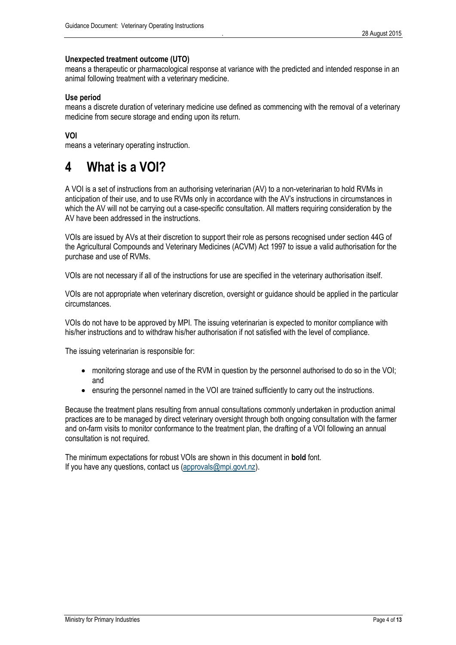#### **Unexpected treatment outcome (UTO)**

means a therapeutic or pharmacological response at variance with the predicted and intended response in an animal following treatment with a veterinary medicine.

#### **Use period**

means a discrete duration of veterinary medicine use defined as commencing with the removal of a veterinary medicine from secure storage and ending upon its return.

#### **VOI**

<span id="page-4-0"></span>means a veterinary operating instruction.

# **4 What is a VOI?**

A VOI is a set of instructions from an authorising veterinarian (AV) to a non-veterinarian to hold RVMs in anticipation of their use, and to use RVMs only in accordance with the AV's instructions in circumstances in which the AV will not be carrying out a case-specific consultation. All matters requiring consideration by the AV have been addressed in the instructions.

VOIs are issued by AVs at their discretion to support their role as persons recognised under section 44G of the Agricultural Compounds and Veterinary Medicines (ACVM) Act 1997 to issue a valid authorisation for the purchase and use of RVMs.

VOIs are not necessary if all of the instructions for use are specified in the veterinary authorisation itself.

VOIs are not appropriate when veterinary discretion, oversight or guidance should be applied in the particular circumstances.

VOIs do not have to be approved by MPI. The issuing veterinarian is expected to monitor compliance with his/her instructions and to withdraw his/her authorisation if not satisfied with the level of compliance.

The issuing veterinarian is responsible for:

- monitoring storage and use of the RVM in question by the personnel authorised to do so in the VOI; and
- ensuring the personnel named in the VOI are trained sufficiently to carry out the instructions.

Because the treatment plans resulting from annual consultations commonly undertaken in production animal practices are to be managed by direct veterinary oversight through both ongoing consultation with the farmer and on-farm visits to monitor conformance to the treatment plan, the drafting of a VOI following an annual consultation is not required.

The minimum expectations for robust VOIs are shown in this document in **bold** font. If you have any questions, contact us [\(approvals@mpi.govt.nz\)](mailto:approvals@mpi.govt.nz).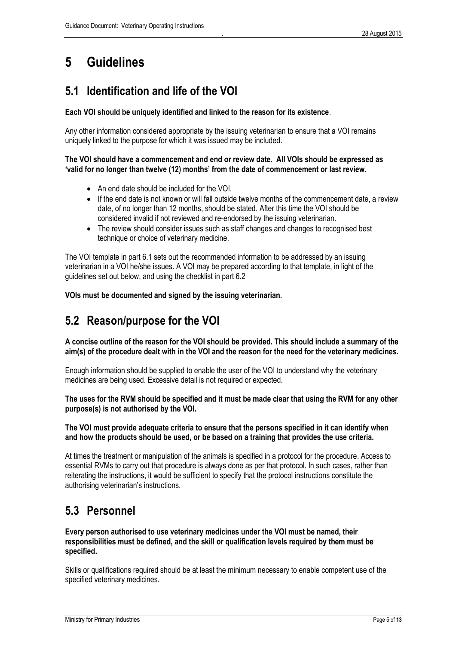# <span id="page-5-0"></span>**5 Guidelines**

# <span id="page-5-1"></span>**5.1 Identification and life of the VOI**

#### **Each VOI should be uniquely identified and linked to the reason for its existence**.

Any other information considered appropriate by the issuing veterinarian to ensure that a VOI remains uniquely linked to the purpose for which it was issued may be included.

#### **The VOI should have a commencement and end or review date. All VOIs should be expressed as 'valid for no longer than twelve (12) months' from the date of commencement or last review.**

- An end date should be included for the VOI.
- If the end date is not known or will fall outside twelve months of the commencement date, a review date, of no longer than 12 months, should be stated. After this time the VOI should be considered invalid if not reviewed and re-endorsed by the issuing veterinarian.
- The review should consider issues such as staff changes and changes to recognised best technique or choice of veterinary medicine.

The VOI template in part 6.1 sets out the recommended information to be addressed by an issuing veterinarian in a VOI he/she issues. A VOI may be prepared according to that template, in light of the guidelines set out below, and using the checklist in part 6.2

<span id="page-5-2"></span>**VOIs must be documented and signed by the issuing veterinarian.**

# **5.2 Reason/purpose for the VOI**

**A concise outline of the reason for the VOI should be provided. This should include a summary of the aim(s) of the procedure dealt with in the VOI and the reason for the need for the veterinary medicines.**

Enough information should be supplied to enable the user of the VOI to understand why the veterinary medicines are being used. Excessive detail is not required or expected.

**The uses for the RVM should be specified and it must be made clear that using the RVM for any other purpose(s) is not authorised by the VOI.**

**The VOI must provide adequate criteria to ensure that the persons specified in it can identify when and how the products should be used, or be based on a training that provides the use criteria.**

At times the treatment or manipulation of the animals is specified in a protocol for the procedure. Access to essential RVMs to carry out that procedure is always done as per that protocol. In such cases, rather than reiterating the instructions, it would be sufficient to specify that the protocol instructions constitute the authorising veterinarian's instructions.

# <span id="page-5-3"></span>**5.3 Personnel**

**Every person authorised to use veterinary medicines under the VOI must be named, their responsibilities must be defined, and the skill or qualification levels required by them must be specified.**

Skills or qualifications required should be at least the minimum necessary to enable competent use of the specified veterinary medicines.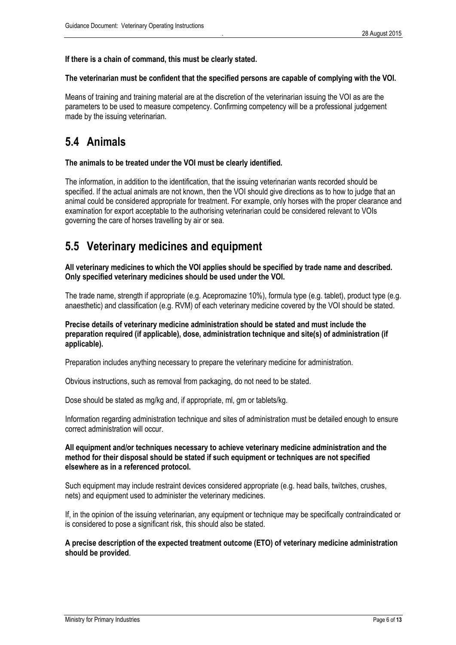#### **If there is a chain of command, this must be clearly stated.**

#### **The veterinarian must be confident that the specified persons are capable of complying with the VOI.**

Means of training and training material are at the discretion of the veterinarian issuing the VOI as are the parameters to be used to measure competency. Confirming competency will be a professional judgement made by the issuing veterinarian.

### <span id="page-6-0"></span>**5.4 Animals**

#### **The animals to be treated under the VOI must be clearly identified.**

The information, in addition to the identification, that the issuing veterinarian wants recorded should be specified. If the actual animals are not known, then the VOI should give directions as to how to judge that an animal could be considered appropriate for treatment. For example, only horses with the proper clearance and examination for export acceptable to the authorising veterinarian could be considered relevant to VOIs governing the care of horses travelling by air or sea.

### <span id="page-6-1"></span>**5.5 Veterinary medicines and equipment**

**All veterinary medicines to which the VOI applies should be specified by trade name and described. Only specified veterinary medicines should be used under the VOI.**

The trade name, strength if appropriate (e.g. Acepromazine 10%), formula type (e.g. tablet), product type (e.g. anaesthetic) and classification (e.g. RVM) of each veterinary medicine covered by the VOI should be stated.

#### **Precise details of veterinary medicine administration should be stated and must include the preparation required (if applicable), dose, administration technique and site(s) of administration (if applicable).**

Preparation includes anything necessary to prepare the veterinary medicine for administration.

Obvious instructions, such as removal from packaging, do not need to be stated.

Dose should be stated as mg/kg and, if appropriate, ml, gm or tablets/kg.

Information regarding administration technique and sites of administration must be detailed enough to ensure correct administration will occur.

#### **All equipment and/or techniques necessary to achieve veterinary medicine administration and the method for their disposal should be stated if such equipment or techniques are not specified elsewhere as in a referenced protocol.**

Such equipment may include restraint devices considered appropriate (e.g. head bails, twitches, crushes, nets) and equipment used to administer the veterinary medicines.

If, in the opinion of the issuing veterinarian, any equipment or technique may be specifically contraindicated or is considered to pose a significant risk, this should also be stated.

#### **A precise description of the expected treatment outcome (ETO) of veterinary medicine administration should be provided**.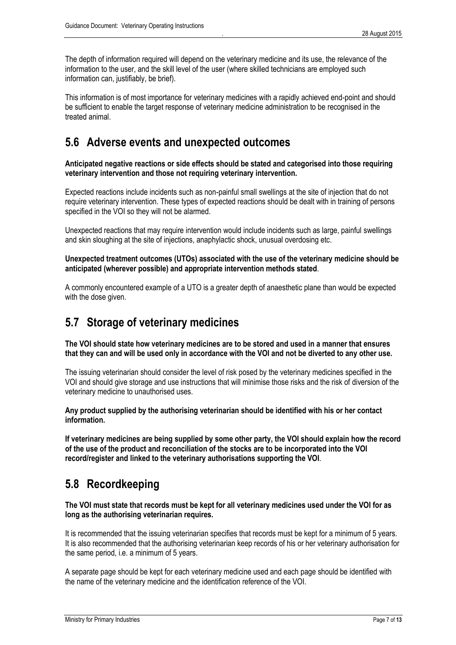The depth of information required will depend on the veterinary medicine and its use, the relevance of the information to the user, and the skill level of the user (where skilled technicians are employed such information can, justifiably, be brief).

This information is of most importance for veterinary medicines with a rapidly achieved end-point and should be sufficient to enable the target response of veterinary medicine administration to be recognised in the treated animal.

### <span id="page-7-0"></span>**5.6 Adverse events and unexpected outcomes**

**Anticipated negative reactions or side effects should be stated and categorised into those requiring veterinary intervention and those not requiring veterinary intervention.**

Expected reactions include incidents such as non-painful small swellings at the site of injection that do not require veterinary intervention. These types of expected reactions should be dealt with in training of persons specified in the VOI so they will not be alarmed.

Unexpected reactions that may require intervention would include incidents such as large, painful swellings and skin sloughing at the site of injections, anaphylactic shock, unusual overdosing etc.

**Unexpected treatment outcomes (UTOs) associated with the use of the veterinary medicine should be anticipated (wherever possible) and appropriate intervention methods stated**.

A commonly encountered example of a UTO is a greater depth of anaesthetic plane than would be expected with the dose given.

### <span id="page-7-1"></span>**5.7 Storage of veterinary medicines**

**The VOI should state how veterinary medicines are to be stored and used in a manner that ensures that they can and will be used only in accordance with the VOI and not be diverted to any other use.**

The issuing veterinarian should consider the level of risk posed by the veterinary medicines specified in the VOI and should give storage and use instructions that will minimise those risks and the risk of diversion of the veterinary medicine to unauthorised uses.

**Any product supplied by the authorising veterinarian should be identified with his or her contact information.**

**If veterinary medicines are being supplied by some other party, the VOI should explain how the record of the use of the product and reconciliation of the stocks are to be incorporated into the VOI record/register and linked to the veterinary authorisations supporting the VOI**.

### <span id="page-7-2"></span>**5.8 Recordkeeping**

**The VOI must state that records must be kept for all veterinary medicines used under the VOI for as long as the authorising veterinarian requires.**

It is recommended that the issuing veterinarian specifies that records must be kept for a minimum of 5 years. It is also recommended that the authorising veterinarian keep records of his or her veterinary authorisation for the same period, i.e. a minimum of 5 years.

A separate page should be kept for each veterinary medicine used and each page should be identified with the name of the veterinary medicine and the identification reference of the VOI.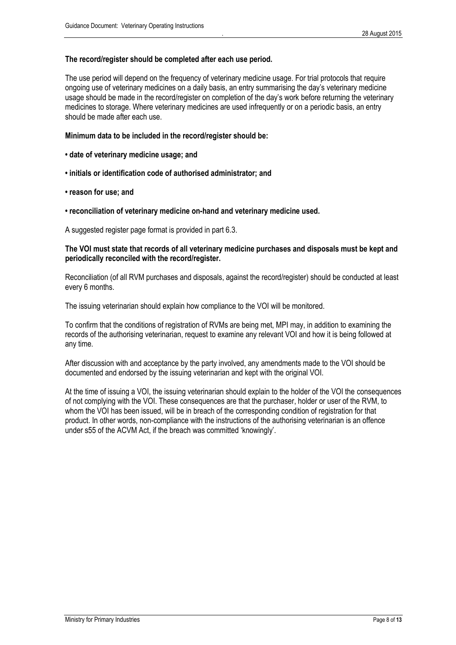#### **The record/register should be completed after each use period.**

The use period will depend on the frequency of veterinary medicine usage. For trial protocols that require ongoing use of veterinary medicines on a daily basis, an entry summarising the day's veterinary medicine usage should be made in the record/register on completion of the day's work before returning the veterinary medicines to storage. Where veterinary medicines are used infrequently or on a periodic basis, an entry should be made after each use.

#### **Minimum data to be included in the record/register should be:**

- **date of veterinary medicine usage; and**
- **initials or identification code of authorised administrator; and**
- **reason for use; and**
- **reconciliation of veterinary medicine on-hand and veterinary medicine used.**

A suggested register page format is provided in part 6.3.

#### **The VOI must state that records of all veterinary medicine purchases and disposals must be kept and periodically reconciled with the record/register.**

Reconciliation (of all RVM purchases and disposals, against the record/register) should be conducted at least every 6 months.

The issuing veterinarian should explain how compliance to the VOI will be monitored.

To confirm that the conditions of registration of RVMs are being met, MPI may, in addition to examining the records of the authorising veterinarian, request to examine any relevant VOI and how it is being followed at any time.

After discussion with and acceptance by the party involved, any amendments made to the VOI should be documented and endorsed by the issuing veterinarian and kept with the original VOI.

At the time of issuing a VOI, the issuing veterinarian should explain to the holder of the VOI the consequences of not complying with the VOI. These consequences are that the purchaser, holder or user of the RVM, to whom the VOI has been issued, will be in breach of the corresponding condition of registration for that product. In other words, non-compliance with the instructions of the authorising veterinarian is an offence under s55 of the ACVM Act, if the breach was committed 'knowingly'.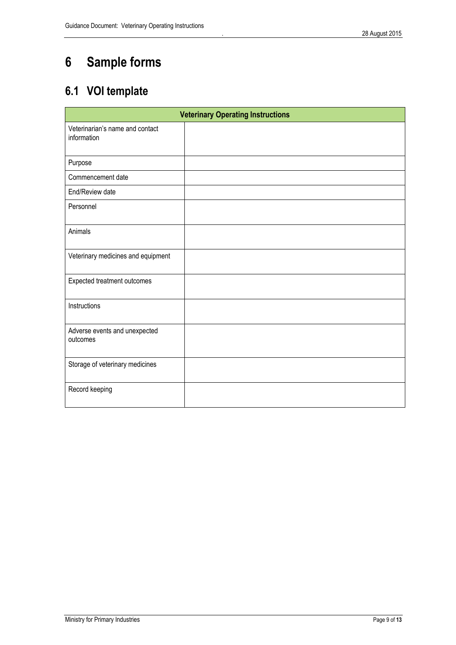# <span id="page-9-0"></span>**6 Sample forms**

# <span id="page-9-1"></span>**6.1 VOI template**

| <b>Veterinary Operating Instructions</b>       |  |  |  |  |  |  |
|------------------------------------------------|--|--|--|--|--|--|
| Veterinarian's name and contact<br>information |  |  |  |  |  |  |
| Purpose                                        |  |  |  |  |  |  |
| Commencement date                              |  |  |  |  |  |  |
| End/Review date                                |  |  |  |  |  |  |
| Personnel                                      |  |  |  |  |  |  |
| Animals                                        |  |  |  |  |  |  |
| Veterinary medicines and equipment             |  |  |  |  |  |  |
| Expected treatment outcomes                    |  |  |  |  |  |  |
| Instructions                                   |  |  |  |  |  |  |
| Adverse events and unexpected<br>outcomes      |  |  |  |  |  |  |
| Storage of veterinary medicines                |  |  |  |  |  |  |
| Record keeping                                 |  |  |  |  |  |  |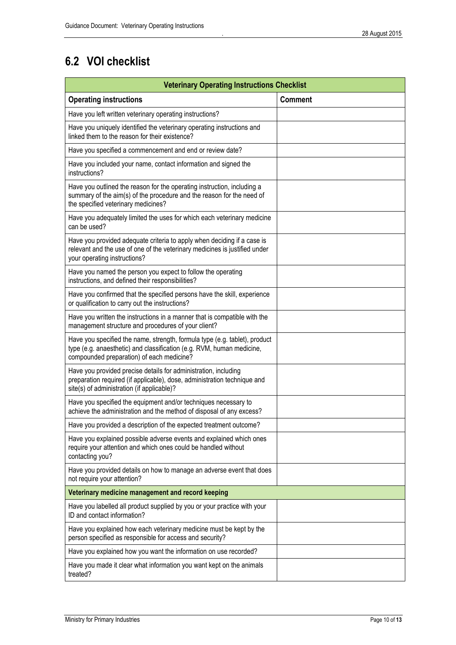# <span id="page-10-0"></span>**6.2 VOI checklist**

| <b>Veterinary Operating Instructions Checklist</b>                                                                                                                                               |                |  |  |  |  |
|--------------------------------------------------------------------------------------------------------------------------------------------------------------------------------------------------|----------------|--|--|--|--|
| <b>Operating instructions</b>                                                                                                                                                                    | <b>Comment</b> |  |  |  |  |
| Have you left written veterinary operating instructions?                                                                                                                                         |                |  |  |  |  |
| Have you uniquely identified the veterinary operating instructions and<br>linked them to the reason for their existence?                                                                         |                |  |  |  |  |
| Have you specified a commencement and end or review date?                                                                                                                                        |                |  |  |  |  |
| Have you included your name, contact information and signed the<br>instructions?                                                                                                                 |                |  |  |  |  |
| Have you outlined the reason for the operating instruction, including a<br>summary of the aim(s) of the procedure and the reason for the need of<br>the specified veterinary medicines?          |                |  |  |  |  |
| Have you adequately limited the uses for which each veterinary medicine<br>can be used?                                                                                                          |                |  |  |  |  |
| Have you provided adequate criteria to apply when deciding if a case is<br>relevant and the use of one of the veterinary medicines is justified under<br>your operating instructions?            |                |  |  |  |  |
| Have you named the person you expect to follow the operating<br>instructions, and defined their responsibilities?                                                                                |                |  |  |  |  |
| Have you confirmed that the specified persons have the skill, experience<br>or qualification to carry out the instructions?                                                                      |                |  |  |  |  |
| Have you written the instructions in a manner that is compatible with the<br>management structure and procedures of your client?                                                                 |                |  |  |  |  |
| Have you specified the name, strength, formula type (e.g. tablet), product<br>type (e.g. anaesthetic) and classification (e.g. RVM, human medicine,<br>compounded preparation) of each medicine? |                |  |  |  |  |
| Have you provided precise details for administration, including<br>preparation required (if applicable), dose, administration technique and<br>site(s) of administration (if applicable)?        |                |  |  |  |  |
| Have you specified the equipment and/or techniques necessary to<br>achieve the administration and the method of disposal of any excess?                                                          |                |  |  |  |  |
| Have you provided a description of the expected treatment outcome?                                                                                                                               |                |  |  |  |  |
| Have you explained possible adverse events and explained which ones<br>require your attention and which ones could be handled without<br>contacting you?                                         |                |  |  |  |  |
| Have you provided details on how to manage an adverse event that does<br>not require your attention?                                                                                             |                |  |  |  |  |
| Veterinary medicine management and record keeping                                                                                                                                                |                |  |  |  |  |
| Have you labelled all product supplied by you or your practice with your<br>ID and contact information?                                                                                          |                |  |  |  |  |
| Have you explained how each veterinary medicine must be kept by the<br>person specified as responsible for access and security?                                                                  |                |  |  |  |  |
| Have you explained how you want the information on use recorded?                                                                                                                                 |                |  |  |  |  |
| Have you made it clear what information you want kept on the animals<br>treated?                                                                                                                 |                |  |  |  |  |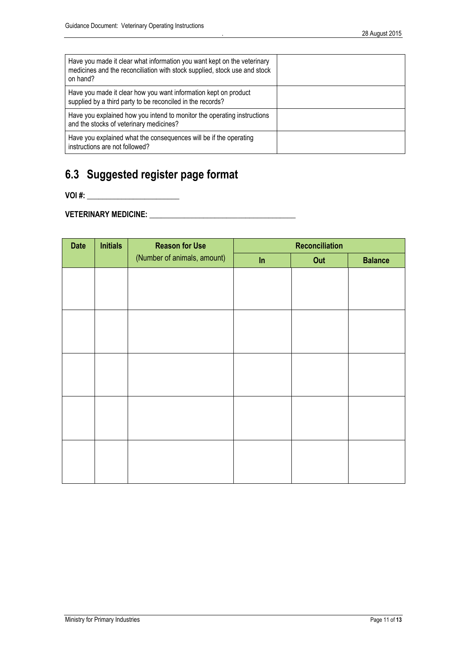| Have you made it clear what information you want kept on the veterinary<br>medicines and the reconciliation with stock supplied, stock use and stock<br>on hand? |  |
|------------------------------------------------------------------------------------------------------------------------------------------------------------------|--|
| Have you made it clear how you want information kept on product<br>supplied by a third party to be reconciled in the records?                                    |  |
| Have you explained how you intend to monitor the operating instructions<br>and the stocks of veterinary medicines?                                               |  |
| Have you explained what the consequences will be if the operating<br>instructions are not followed?                                                              |  |

# <span id="page-11-0"></span>**6.3 Suggested register page format**

**VOI #: \_\_\_\_\_\_\_\_\_\_\_\_\_\_\_\_\_\_\_\_\_\_\_\_**

**VETERINARY MEDICINE: \_\_\_\_\_\_\_\_\_\_\_\_\_\_\_\_\_\_\_\_\_\_\_\_\_\_\_\_\_\_\_\_\_\_\_\_\_\_**

| <b>Date</b> | <b>Initials</b> | <b>Reason for Use</b>       |    | <b>Reconciliation</b> |                |
|-------------|-----------------|-----------------------------|----|-----------------------|----------------|
|             |                 | (Number of animals, amount) | ln | Out                   | <b>Balance</b> |
|             |                 |                             |    |                       |                |
|             |                 |                             |    |                       |                |
|             |                 |                             |    |                       |                |
|             |                 |                             |    |                       |                |
|             |                 |                             |    |                       |                |
|             |                 |                             |    |                       |                |
|             |                 |                             |    |                       |                |
|             |                 |                             |    |                       |                |
|             |                 |                             |    |                       |                |
|             |                 |                             |    |                       |                |
|             |                 |                             |    |                       |                |
|             |                 |                             |    |                       |                |
|             |                 |                             |    |                       |                |
|             |                 |                             |    |                       |                |
|             |                 |                             |    |                       |                |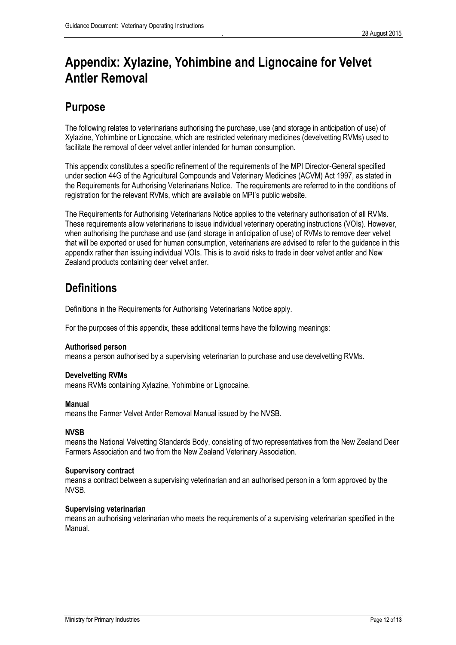# <span id="page-12-0"></span>**Appendix: Xylazine, Yohimbine and Lignocaine for Velvet Antler Removal**

## <span id="page-12-1"></span>**Purpose**

The following relates to veterinarians authorising the purchase, use (and storage in anticipation of use) of Xylazine, Yohimbine or Lignocaine, which are restricted veterinary medicines (develvetting RVMs) used to facilitate the removal of deer velvet antler intended for human consumption.

This appendix constitutes a specific refinement of the requirements of the MPI Director-General specified under section 44G of the Agricultural Compounds and Veterinary Medicines (ACVM) Act 1997, as stated in the Requirements for Authorising Veterinarians Notice. The requirements are referred to in the conditions of registration for the relevant RVMs, which are available on MPI's public website.

The Requirements for Authorising Veterinarians Notice applies to the veterinary authorisation of all RVMs. These requirements allow veterinarians to issue individual veterinary operating instructions (VOIs). However, when authorising the purchase and use (and storage in anticipation of use) of RVMs to remove deer velvet that will be exported or used for human consumption, veterinarians are advised to refer to the guidance in this appendix rather than issuing individual VOIs. This is to avoid risks to trade in deer velvet antler and New Zealand products containing deer velvet antler.

# <span id="page-12-2"></span>**Definitions**

Definitions in the Requirements for Authorising Veterinarians Notice apply.

For the purposes of this appendix, these additional terms have the following meanings:

#### **Authorised person**

means a person authorised by a supervising veterinarian to purchase and use develvetting RVMs.

#### **Develvetting RVMs**

means RVMs containing Xylazine, Yohimbine or Lignocaine.

#### **Manual**

means the Farmer Velvet Antler Removal Manual issued by the NVSB.

#### **NVSB**

means the National Velvetting Standards Body, consisting of two representatives from the New Zealand Deer Farmers Association and two from the New Zealand Veterinary Association.

#### **Supervisory contract**

means a contract between a supervising veterinarian and an authorised person in a form approved by the NVSB.

#### **Supervising veterinarian**

means an authorising veterinarian who meets the requirements of a supervising veterinarian specified in the Manual.